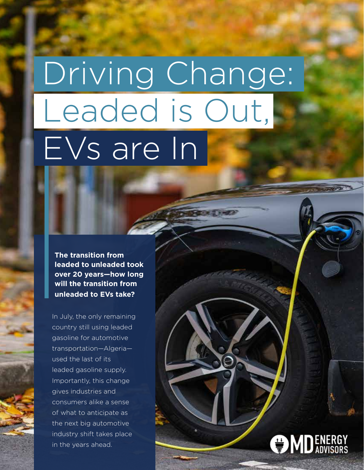# Driving Change: Leaded is Out, EVs are In

**The transition from leaded to unleaded took over 20 years—how long will the transition from unleaded to EVs take?**

In July, the only remaining country still using leaded gasoline for automotive transportation—Algeria used the last of its leaded gasoline supply. Importantly, this change gives industries and consumers alike a sense of what to anticipate as the next big automotive industry shift takes place in the years ahead.

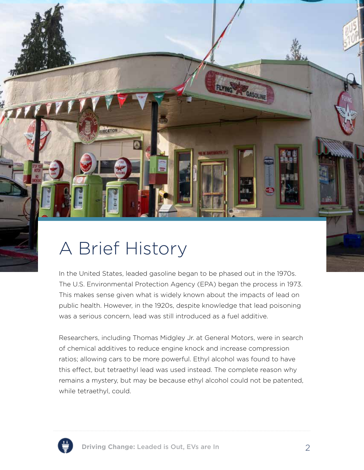

In the United States, leaded gasoline began to be phased out in the 1970s. The U.S. Environmental Protection Agency (EPA) began the process in 1973. This makes sense given what is widely known about the impacts of lead on public health. However, in the 1920s, despite knowledge that lead poisoning was a serious concern, lead was still introduced as a fuel additive.

**AF GASOLI** 

Researchers, including Thomas Midgley Jr. at General Motors, were in search of chemical additives to reduce engine knock and increase compression ratios; allowing cars to be more powerful. Ethyl alcohol was found to have this effect, but tetraethyl lead was used instead. The complete reason why remains a mystery, but may be because ethyl alcohol could not be patented, while tetraethyl, could.

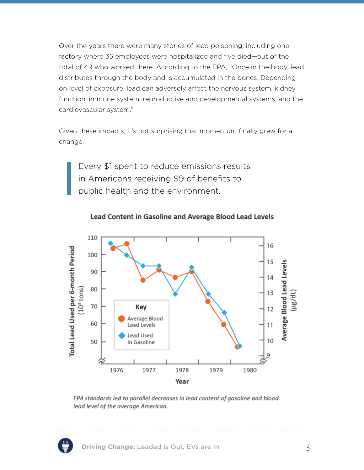Over the years there were many stories of lead poisoning, including one factory where 35 employees were hospitalized and five died—out of the total of 49 who worked there. According to the EPA, "Once in the body, lead distributes through the body and is accumulated in the bones. Depending on level of exposure, lead can adversely affect the nervous system, kidney function, immune system, reproductive and developmental systems, and the cardiovascular system."

Given these impacts, it's not surprising that momentum finally grew for a change.

Every \$1 spent to reduce emissions results in Americans receiving \$9 of benefits to public health and the environment.



Lead Content in Gasoline and Average Blood Lead Levels

EPA standards led to parallel decreases in lead content of gasoline and blood lead level of the average American.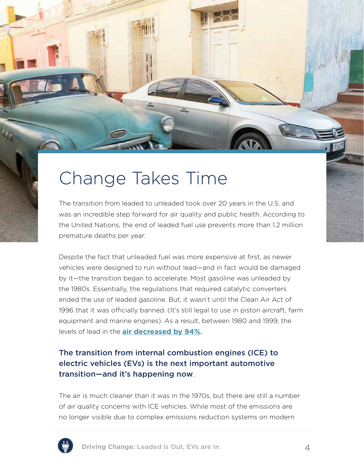

The transition from leaded to unleaded took over 20 years in the U.S. and was an incredible step forward for air quality and public health. According to the United Nations, the end of leaded fuel use prevents more than 1.2 million premature deaths per year.

Despite the fact that unleaded fuel was more expensive at first, as newer vehicles were designed to run without lead—and in fact would be damaged by it—the transition began to accelerate. Most gasoline was unleaded by the 1980s. Essentially, the regulations that required catalytic converters ended the use of leaded gasoline. But, it wasn't until the Clean Air Act of 1996 that it was officially banned. (It's still legal to use in piston aircraft, farm equipment and marine engines). As a result, between 1980 and 1999, the levels of lead in the **air decreased by 94%.** 

#### The transition from internal combustion engines (ICE) to electric vehicles (EVs) is the next important automotive transition—and it's happening now.

The air is much cleaner than it was in the 1970s, but there are still a number of air quality concerns with ICE vehicles. While most of the emissions are no longer visible due to complex emissions reduction systems on modern

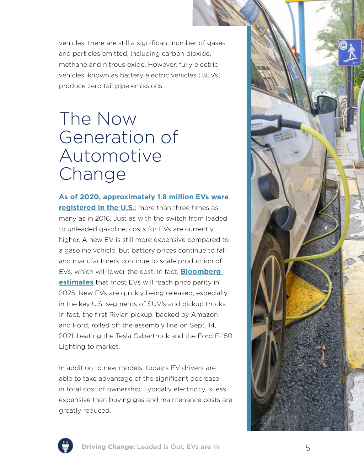vehicles, there are still a significant number of gases and particles emitted, including carbon dioxide, methane and nitrous oxide. However, fully electric vehicles, known as battery electric vehicles (BEVs) produce zero tail pipe emissions.

### The Now Generation of Automotive Change

**As of 2020, approximately 1.8 million EVs were registered in the U.S.**; more than three times as many as in 2016. Just as with the switch from leaded to unleaded gasoline, costs for EVs are currently higher. A new EV is still more expensive compared to a gasoline vehicle, but battery prices continue to fall and manufacturers continue to scale production of EVs, which will lower the cost. In fact, **Bloomberg estimates** that most EVs will reach price parity in 2025. New EVs are quickly being released, especially in the key U.S. segments of SUV's and pickup trucks. In fact, the first Rivian pickup, backed by Amazon and Ford, rolled off the assembly line on Sept. 14, 2021; beating the Tesla Cybertruck and the Ford F-150 Lighting to market.

In addition to new models, today's EV drivers are able to take advantage of the significant decrease in total cost of ownership. Typically electricity is less expensive than buying gas and maintenance costs are greatly reduced.



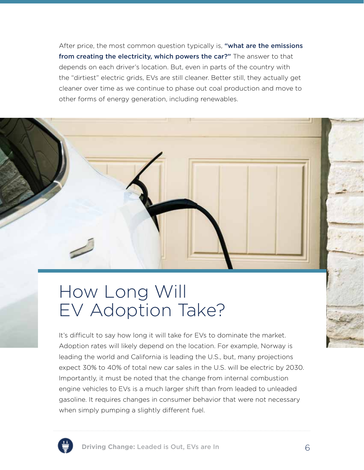After price, the most common question typically is, "what are the emissions from creating the electricity, which powers the car?" The answer to that depends on each driver's location. But, even in parts of the country with the "dirtiest" electric grids, EVs are still cleaner. Better still, they actually get cleaner over time as we continue to phase out coal production and move to other forms of energy generation, including renewables.

## How Long Will EV Adoption Take?

It's difficult to say how long it will take for EVs to dominate the market. Adoption rates will likely depend on the location. For example, Norway is leading the world and California is leading the U.S., but, many projections expect 30% to 40% of total new car sales in the U.S. will be electric by 2030. Importantly, it must be noted that the change from internal combustion engine vehicles to EVs is a much larger shift than from leaded to unleaded gasoline. It requires changes in consumer behavior that were not necessary when simply pumping a slightly different fuel.